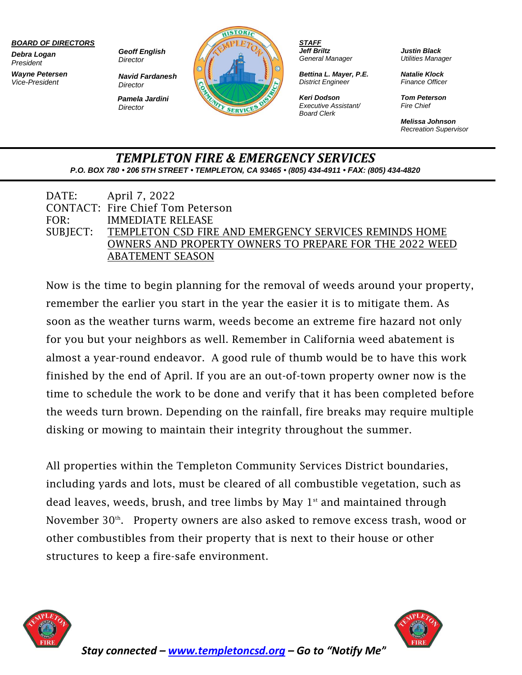#### *BOARD OF DIRECTORS*

*Debra Logan President*

*Wayne Petersen Vice-President*

*Geoff English Director*

*Navid Fardanesh Director Pamela Jardini*

*Director*



*STAFF Jeff Briltz General Manager*

*Bettina L. Mayer, P.E. District Engineer*

*Keri Dodson Executive Assistant/ Board Clerk*

*Justin Black Utilities Manager*

*Natalie Klock Finance Officer*

*Tom Peterson Fire Chief*

*Melissa Johnson Recreation Supervisor*

### *TEMPLETON FIRE & EMERGENCY SERVICES P.O. BOX 780 • 206 5TH STREET • TEMPLETON, CA 93465 • (805) 434-4911 • FAX: (805) 434-4820*

|      | DATE: April 7, 2022                                             |
|------|-----------------------------------------------------------------|
|      | <b>CONTACT: Fire Chief Tom Peterson</b>                         |
| FOR: | <b>IMMEDIATE RELEASE</b>                                        |
|      | SUBJECT: TEMPLETON CSD FIRE AND EMERGENCY SERVICES REMINDS HOME |
|      | <b>OWNERS AND PROPERTY OWNERS TO PREPARE FOR THE 2022 WEED</b>  |
|      | <b>ABATEMENT SEASON</b>                                         |

Now is the time to begin planning for the removal of weeds around your property, remember the earlier you start in the year the easier it is to mitigate them. As soon as the weather turns warm, weeds become an extreme fire hazard not only for you but your neighbors as well. Remember in California weed abatement is almost a year-round endeavor. A good rule of thumb would be to have this work finished by the end of April. If you are an out-of-town property owner now is the time to schedule the work to be done and verify that it has been completed before the weeds turn brown. Depending on the rainfall, fire breaks may require multiple disking or mowing to maintain their integrity throughout the summer.

All properties within the Templeton Community Services District boundaries, including yards and lots, must be cleared of all combustible vegetation, such as dead leaves, weeds, brush, and tree limbs by May  $1<sup>st</sup>$  and maintained through November 30<sup>th</sup>. Property owners are also asked to remove excess trash, wood or other combustibles from their property that is next to their house or other structures to keep a fire-safe environment.





*Stay connected – [www.templetoncsd.org](http://www.templetoncsd.org/) – Go to "Notify Me"*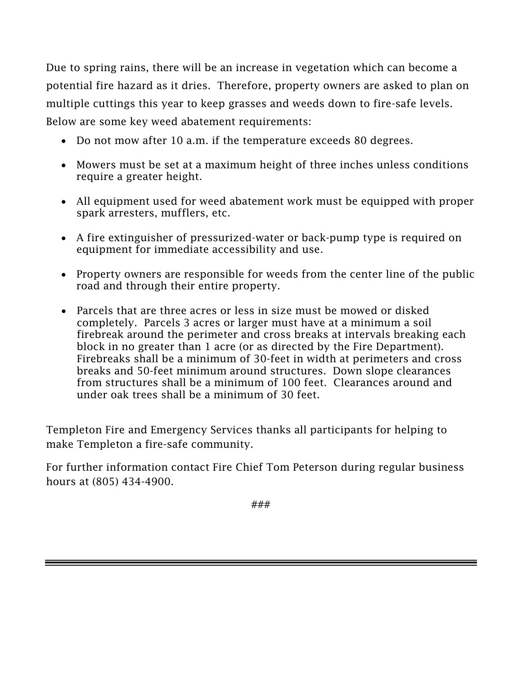Due to spring rains, there will be an increase in vegetation which can become a potential fire hazard as it dries. Therefore, property owners are asked to plan on multiple cuttings this year to keep grasses and weeds down to fire-safe levels. Below are some key weed abatement requirements:

- Do not mow after 10 a.m. if the temperature exceeds 80 degrees.
- Mowers must be set at a maximum height of three inches unless conditions require a greater height.
- All equipment used for weed abatement work must be equipped with proper spark arresters, mufflers, etc.
- A fire extinguisher of pressurized-water or back-pump type is required on equipment for immediate accessibility and use.
- Property owners are responsible for weeds from the center line of the public road and through their entire property.
- Parcels that are three acres or less in size must be mowed or disked completely. Parcels 3 acres or larger must have at a minimum a soil firebreak around the perimeter and cross breaks at intervals breaking each block in no greater than 1 acre (or as directed by the Fire Department). Firebreaks shall be a minimum of 30-feet in width at perimeters and cross breaks and 50-feet minimum around structures. Down slope clearances from structures shall be a minimum of 100 feet. Clearances around and under oak trees shall be a minimum of 30 feet.

Templeton Fire and Emergency Services thanks all participants for helping to make Templeton a fire-safe community.

For further information contact Fire Chief Tom Peterson during regular business hours at (805) 434-4900.

###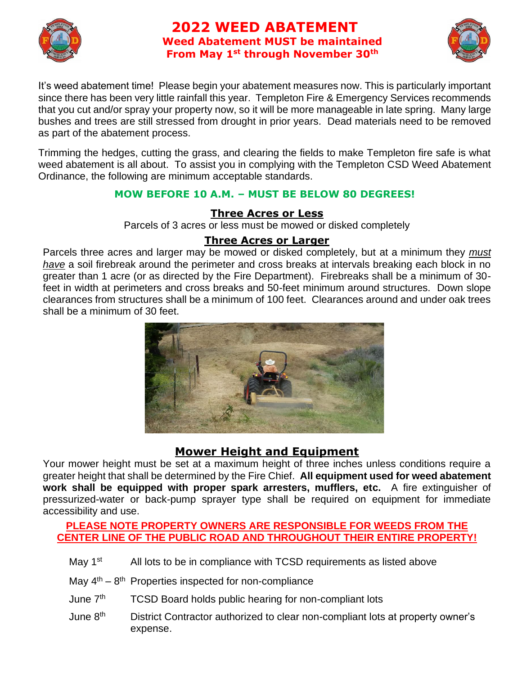

# **2022 WEED ABATEMENT Weed Abatement MUST be maintained From May 1st through November 30th**



It's weed abatement time! Please begin your abatement measures now. This is particularly important since there has been very little rainfall this year. Templeton Fire & Emergency Services recommends that you cut and/or spray your property now, so it will be more manageable in late spring. Many large bushes and trees are still stressed from drought in prior years. Dead materials need to be removed as part of the abatement process.

Trimming the hedges, cutting the grass, and clearing the fields to make Templeton fire safe is what weed abatement is all about. To assist you in complying with the Templeton CSD Weed Abatement Ordinance, the following are minimum acceptable standards.

### **MOW BEFORE 10 A.M. – MUST BE BELOW 80 DEGREES!**

## **Three Acres or Less**

Parcels of 3 acres or less must be mowed or disked completely

# **Three Acres or Larger**

Parcels three acres and larger may be mowed or disked completely, but at a minimum they *must have* a soil firebreak around the perimeter and cross breaks at intervals breaking each block in no greater than 1 acre (or as directed by the Fire Department). Firebreaks shall be a minimum of 30 feet in width at perimeters and cross breaks and 50-feet minimum around structures. Down slope clearances from structures shall be a minimum of 100 feet. Clearances around and under oak trees shall be a minimum of 30 feet.



# **Mower Height and Equipment**

Your mower height must be set at a maximum height of three inches unless conditions require a greater height that shall be determined by the Fire Chief. **All equipment used for weed abatement work shall be equipped with proper spark arresters, mufflers, etc.** A fire extinguisher of pressurized-water or back-pump sprayer type shall be required on equipment for immediate accessibility and use.

### **PLEASE NOTE PROPERTY OWNERS ARE RESPONSIBLE FOR WEEDS FROM THE CENTER LINE OF THE PUBLIC ROAD AND THROUGHOUT THEIR ENTIRE PROPERTY!**

- May  $1<sup>st</sup>$  All lots to be in compliance with TCSD requirements as listed above
- May  $4^{th}$   $8^{th}$  Properties inspected for non-compliance
- June 7<sup>th</sup> TCSD Board holds public hearing for non-compliant lots
- June 8<sup>th</sup> District Contractor authorized to clear non-compliant lots at property owner's expense.